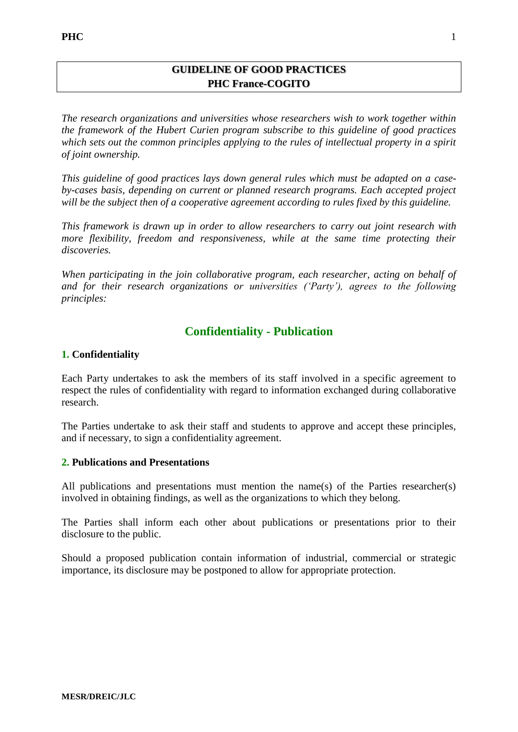## **GUIDELINE OF GOOD PRACTICES PHC France-COGITO**

*The research organizations and universities whose researchers wish to work together within the framework of the Hubert Curien program subscribe to this guideline of good practices which sets out the common principles applying to the rules of intellectual property in a spirit of joint ownership.* 

*This guideline of good practices lays down general rules which must be adapted on a caseby-cases basis, depending on current or planned research programs. Each accepted project will be the subject then of a cooperative agreement according to rules fixed by this guideline.* 

*This framework is drawn up in order to allow researchers to carry out joint research with more flexibility, freedom and responsiveness, while at the same time protecting their discoveries.*

*When participating in the join collaborative program, each researcher, acting on behalf of and for their research organizations or universities ('Party'), agrees to the following principles:* 

# **Confidentiality - Publication**

### **1. Confidentiality**

Each Party undertakes to ask the members of its staff involved in a specific agreement to respect the rules of confidentiality with regard to information exchanged during collaborative research.

The Parties undertake to ask their staff and students to approve and accept these principles, and if necessary, to sign a confidentiality agreement.

#### **2. Publications and Presentations**

All publications and presentations must mention the name(s) of the Parties researcher(s) involved in obtaining findings, as well as the organizations to which they belong.

The Parties shall inform each other about publications or presentations prior to their disclosure to the public.

Should a proposed publication contain information of industrial, commercial or strategic importance, its disclosure may be postponed to allow for appropriate protection.